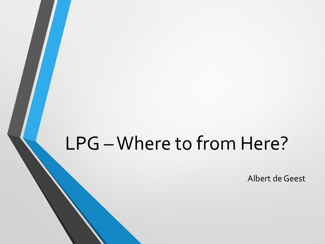# LPG –Where to from Here?

Albert de Geest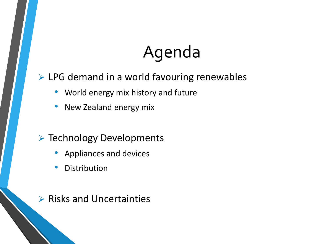# Agenda

### ▶ LPG demand in a world favouring renewables

- World energy mix history and future
- New Zealand energy mix

#### $\triangleright$  Technology Developments

- Appliances and devices
- **Distribution**
- $\triangleright$  Risks and Uncertainties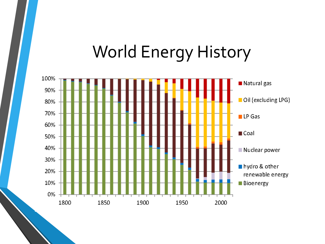### World Energy History

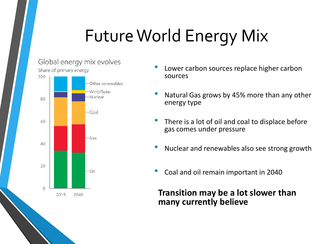# Future World Energy Mix

#### Global energy mix evolves

Share of primary energy



- Lower carbon sources replace higher carbon sources
- Natural Gas grows by 45% more than any other energy type
- There is a lot of oil and coal to displace before gas comes under pressure
- Nuclear and renewables also see strong growth
- Coal and oil remain important in 2040

#### **Transition may be a lot slower than many currently believe**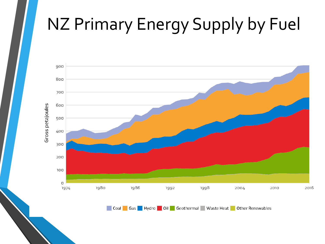# NZ Primary Energy Supply by Fuel



Coal Gas Hydro Oil Geothermal Waste Heat Other Renewables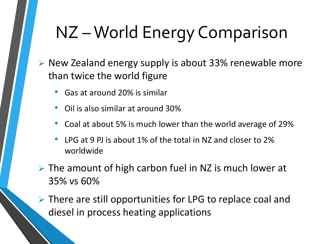# NZ –World Energy Comparison

 $\triangleright$  New Zealand energy supply is about 33% renewable more than twice the world figure

- Gas at around 20% is similar
- Oil is also similar at around 30%
- Coal at about 5% is much lower than the world average of 29%
- LPG at 9 PJ is about 1% of the total in NZ and closer to 2% worldwide
- $\triangleright$  The amount of high carbon fuel in NZ is much lower at 35% vs 60%
- $\triangleright$  There are still opportunities for LPG to replace coal and diesel in process heating applications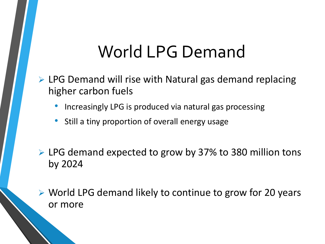### World LPG Demand

- $\triangleright$  LPG Demand will rise with Natural gas demand replacing higher carbon fuels
	- Increasingly LPG is produced via natural gas processing
	- Still a tiny proportion of overall energy usage
- LPG demand expected to grow by 37% to 380 million tons by 2024
- $\triangleright$  World LPG demand likely to continue to grow for 20 years or more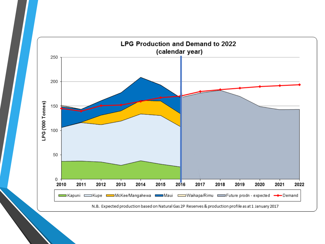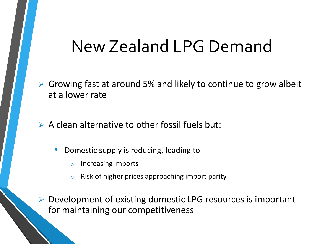### New Zealand LPG Demand

 $\triangleright$  Growing fast at around 5% and likely to continue to grow albeit at a lower rate

 $\triangleright$  A clean alternative to other fossil fuels but:

- Domestic supply is reducing, leading to
	- o Increasing imports
	- $\circ$  Risk of higher prices approaching import parity

 Development of existing domestic LPG resources is important for maintaining our competitiveness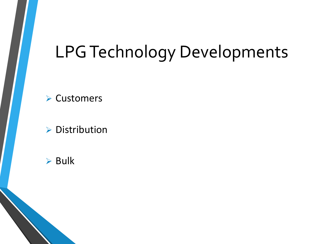# LPG Technology Developments

#### **▶ Customers**

 $\triangleright$  Distribution

#### $\triangleright$  Bulk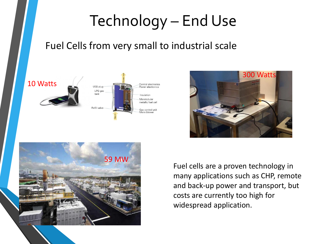### Technology – End Use

### Fuel Cells from very small to industrial scale







Fuel cells are a proven technology in many applications such as CHP, remote and back-up power and transport, but costs are currently too high for widespread application.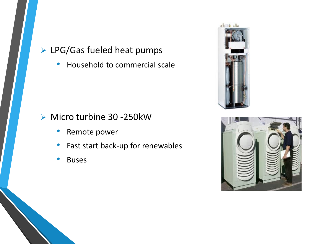#### ▶ LPG/Gas fueled heat pumps

• Household to commercial scale

#### ▶ Micro turbine 30 -250kW

- Remote power
- Fast start back-up for renewables
- Buses



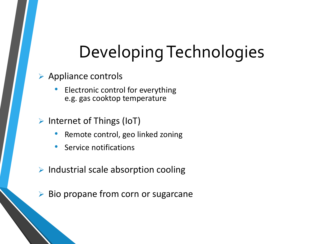# Developing Technologies

#### $\triangleright$  Appliance controls

- Electronic control for everything e.g. gas cooktop temperature
- $\triangleright$  Internet of Things (IoT)
	- Remote control, geo linked zoning
	- Service notifications
- $\triangleright$  Industrial scale absorption cooling
- $\triangleright$  Bio propane from corn or sugarcane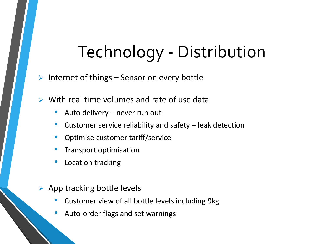# Technology - Distribution

 $\triangleright$  Internet of things – Sensor on every bottle

With real time volumes and rate of use data

- Auto delivery never run out
- Customer service reliability and safety leak detection
- Optimise customer tariff/service
- Transport optimisation
- Location tracking
- $\triangleright$  App tracking bottle levels
	- Customer view of all bottle levels including 9kg
	- Auto-order flags and set warnings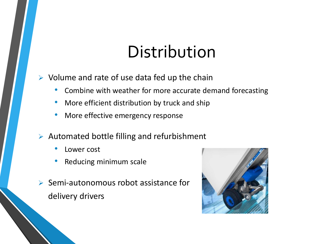### Distribution

 $\triangleright$  Volume and rate of use data fed up the chain

- Combine with weather for more accurate demand forecasting
- More efficient distribution by truck and ship
- More effective emergency response
- $\triangleright$  Automated bottle filling and refurbishment
	- Lower cost
	- Reducing minimum scale
- $\triangleright$  Semi-autonomous robot assistance for delivery drivers

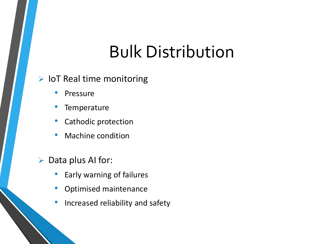### Bulk Distribution

#### $\triangleright$  IoT Real time monitoring

- **Pressure**
- **Temperature**
- Cathodic protection
- Machine condition
- ▶ Data plus AI for:
	- Early warning of failures
	- Optimised maintenance
	- Increased reliability and safety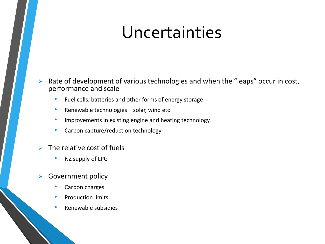### Uncertainties

 $\triangleright$  Rate of development of various technologies and when the "leaps" occur in cost, performance and scale

- Fuel cells, batteries and other forms of energy storage
- Renewable technologies solar, wind etc
- Improvements in existing engine and heating technology
- Carbon capture/reduction technology
- The relative cost of fuels
	- NZ supply of LPG
- $\triangleright$  Government policy
	- Carbon charges
	- Production limits
	- Renewable subsidies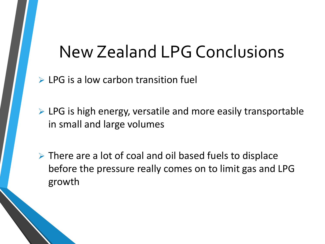### New Zealand LPG Conclusions

 $\triangleright$  LPG is a low carbon transition fuel

 $\triangleright$  LPG is high energy, versatile and more easily transportable in small and large volumes

 $\triangleright$  There are a lot of coal and oil based fuels to displace before the pressure really comes on to limit gas and LPG growth